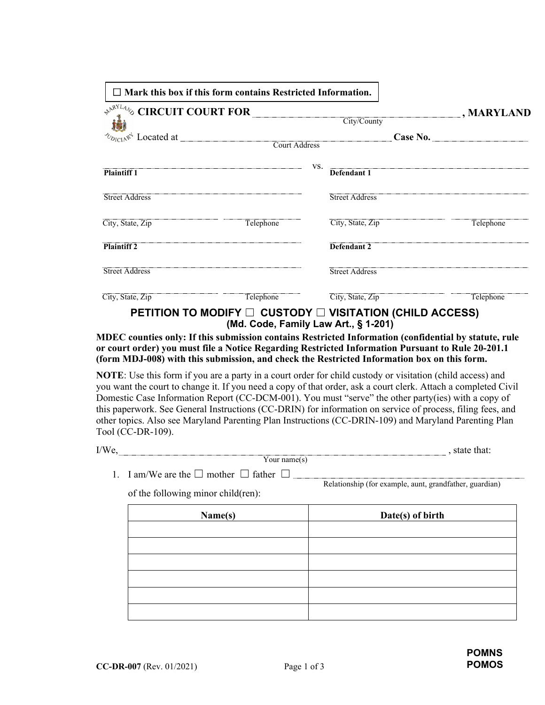| $\Box$ Mark this box if this form contains Restricted Information.                                           |                                                                    |     |                       |                   |
|--------------------------------------------------------------------------------------------------------------|--------------------------------------------------------------------|-----|-----------------------|-------------------|
| $\mathcal{P}^{\mathcal{N}^{\text{RYL4}}\otimes}_{\bullet\ \star\ \mathcal{N}}$ CIRCUIT COURT FOR City/County |                                                                    |     |                       | $\Box$ , MARYLAND |
|                                                                                                              |                                                                    |     |                       |                   |
|                                                                                                              |                                                                    |     |                       |                   |
|                                                                                                              |                                                                    |     |                       |                   |
| <b>Plaintiff 1</b>                                                                                           |                                                                    | VS. | Defendant 1           |                   |
| <b>Street Address</b>                                                                                        |                                                                    |     | <b>Street Address</b> |                   |
| City, State, Zip                                                                                             | Telephone                                                          |     | City, State, Zip      | Telephone         |
| <b>Plaintiff 2</b>                                                                                           |                                                                    |     | Defendant 2           |                   |
| <b>Street Address</b>                                                                                        |                                                                    |     | <b>Street Address</b> |                   |
| City, State, Zip                                                                                             | Telephone                                                          |     | City, State, Zip      | Telephone         |
|                                                                                                              | PETITION TO MODIFY $\Box$ CUSTODY $\Box$ VISITATION (CHILD ACCESS) |     |                       |                   |

 **(Md. Code, Family Law Art., § 1-201)**

**MDEC counties only: If this submission contains Restricted Information (confidential by statute, rule or court order) you must file a Notice Regarding Restricted Information Pursuant to Rule 20-201.1 (form MDJ-008) with this submission, and check the Restricted Information box on this form.** 

**NOTE**: Use this form if you are a party in a court order for child custody or visitation (child access) and you want the court to change it. If you need a copy of that order, ask a court clerk. Attach a completed Civil Domestic Case Information Report (CC-DCM-001). You must "serve" the other party(ies) with a copy of this paperwork. See General Instructions (CC-DRIN) for information on service of process, filing fees, and other topics. Also see Maryland Parenting Plan Instructions (CC-DRIN-109) and Maryland Parenting Plan Tool (CC-DR-109).

Your name $(s)$ I/We, state that:

1. I am/We are the  $\Box$  mother  $\Box$  father  $\Box$ 

Relationship (for example, aunt, grandfather, guardian)

of the following minor child(ren):

| Name(s) | Date(s) of birth |
|---------|------------------|
|         |                  |
|         |                  |
|         |                  |
|         |                  |
|         |                  |
|         |                  |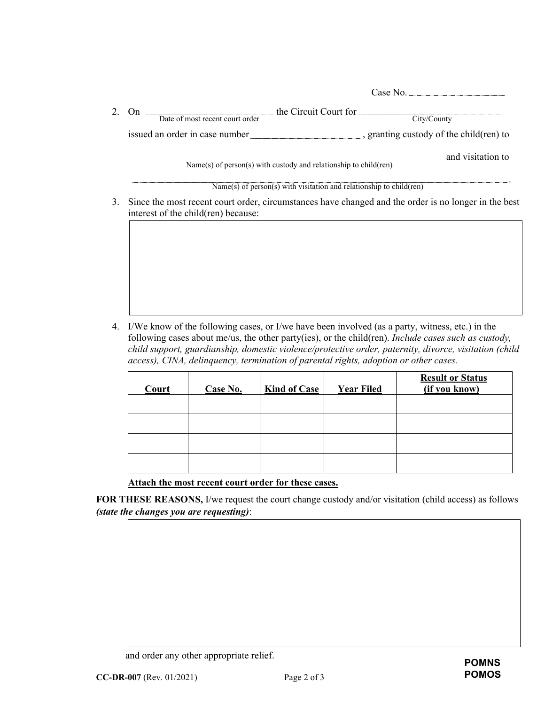|                                                                     | Case No.                                |
|---------------------------------------------------------------------|-----------------------------------------|
| the Circuit Court for<br>On<br>Date of most recent court order      | City/County                             |
| issued an order in case number_                                     | , granting custody of the child(ren) to |
| $Name(s)$ of person(s) with custody and relationship to child(ren)  | and visitation to                       |
| Name(s) of person(s) with visitation and relationship to child(ren) |                                         |

3. Since the most recent court order, circumstances have changed and the order is no longer in the best interest of the child(ren) because:

4. I/We know of the following cases, or I/we have been involved (as a party, witness, etc.) in the following cases about me/us, the other party(ies), or the child(ren). *Include cases such as custody, child support, guardianship, domestic violence/protective order, paternity, divorce, visitation (child access), CINA, delinquency, termination of parental rights, adoption or other cases.*

| Court | Case No. | <b>Kind of Case</b> | <b>Year Filed</b> | <b>Result or Status</b><br>(if you know) |
|-------|----------|---------------------|-------------------|------------------------------------------|
|       |          |                     |                   |                                          |
|       |          |                     |                   |                                          |
|       |          |                     |                   |                                          |
|       |          |                     |                   |                                          |

**Attach the most recent court order for these cases.** 

**FOR THESE REASONS,** I/we request the court change custody and/or visitation (child access) as follows *(state the changes you are requesting)*:

and order any other appropriate relief.